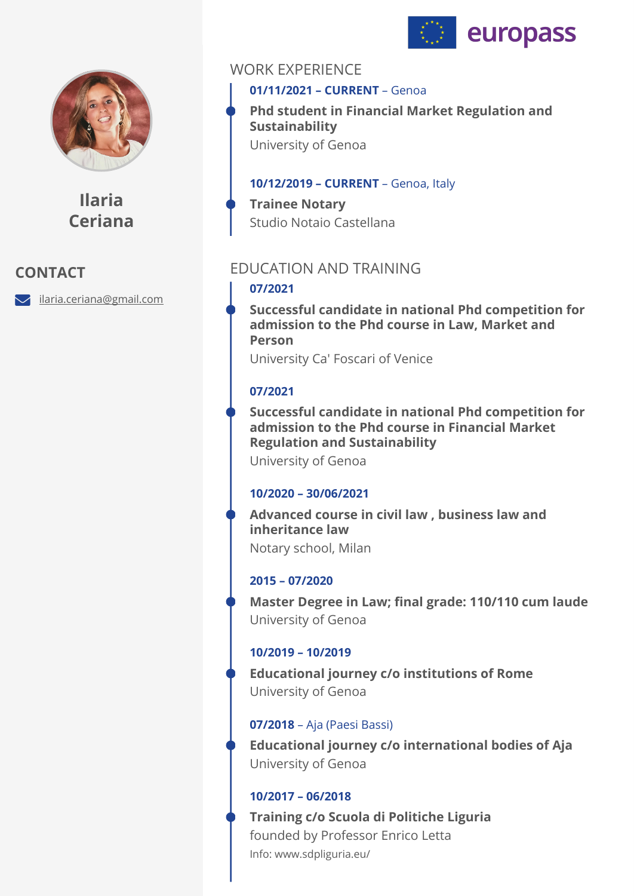



**Ilaria Ceriana**

# **CONTACT**

ilaria.ceriana@gmail.com

# WORK EXPERIENCE

## **01/11/2021 – CURRENT** – Genoa

**Phd student in Financial Market Regulation and Sustainability**  University of Genoa

#### **10/12/2019 – CURRENT** – Genoa, Italy

**Trainee Notary**  Studio Notaio Castellana

# EDUCATION AND TRAINING

#### **07/2021**

**Successful candidate in national Phd competition for admission to the Phd course in Law, Market and Person** 

University Ca' Foscari of Venice

#### **07/2021**

**Successful candidate in national Phd competition for admission to the Phd course in Financial Market Regulation and Sustainability** 

University of Genoa

#### **10/2020 – 30/06/2021**

**Advanced course in civil law , business law and inheritance law**  Notary school, Milan

## **2015 – 07/2020**

**Master Degree in Law; final grade: 110/110 cum laude**  University of Genoa

#### **10/2019 – 10/2019**

**Educational journey c/o institutions of Rome**  University of Genoa

#### **07/2018** – Aja (Paesi Bassi)

**Educational journey c/o international bodies of Aja**  University of Genoa

#### **10/2017 – 06/2018**

Info: www.sdpliguria.eu/ **Training c/o Scuola di Politiche Liguria**  founded by Professor Enrico Letta